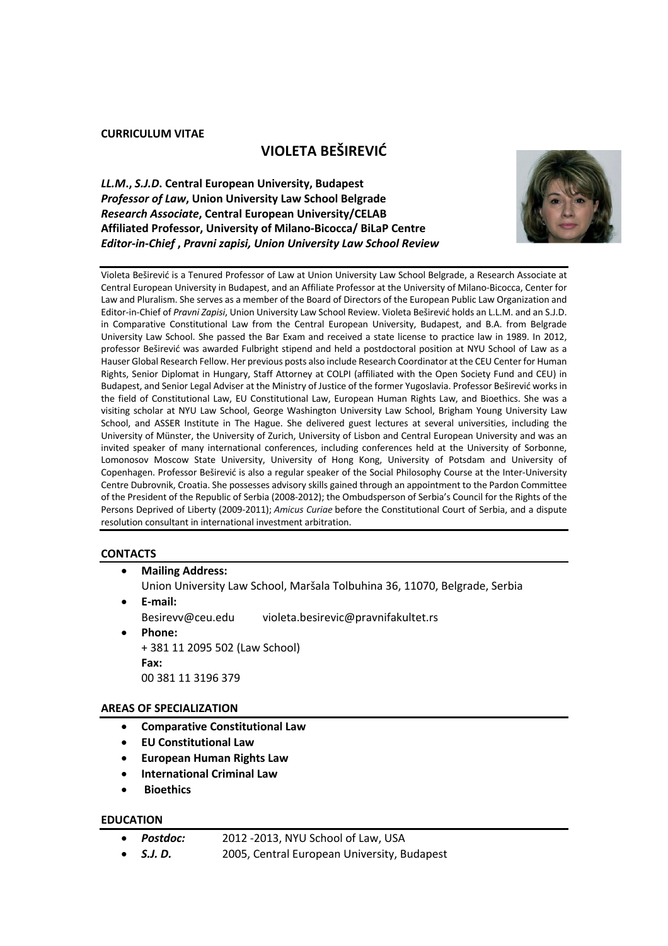#### **CURRICULUM VITAE**

# **VIOLETA BEŠIREVIĆ**

*LL.M***.,** *S.J.D***. Central European University, Budapest** *Professor of Law***, Union University Law School Belgrade** *Research Associate***, Central European University/CELAB Affiliated Professor, University of Milano-Bicocca/ BiLaP Centre** *Editor-in-Chief* **,** *Pravni zapisi, Union University Law School Review*



Violeta Beširević is a Tenured Professor of Law at Union University Law School Belgrade, a Research Associate at Central European University in Budapest, and an Affiliate Professor at the University of Milano-Bicocca, Center for Law and Pluralism. She serves as a member of the Board of Directors of the European Public Law Organization and Editor-in-Chief of *Pravni Zapisi*, Union University Law School Review. Violeta Beširević holds an L.L.M. and an S.J.D. in Comparative Constitutional Law from the Central European University, Budapest, and B.A. from Belgrade University Law School. She passed the Bar Exam and received a state license to practice law in 1989. In 2012, professor Beširević was awarded Fulbright stipend and held a postdoctoral position at NYU School of Law as a Hauser Global Research Fellow. Her previous posts also include Research Coordinator at the CEU Center for Human Rights, Senior Diplomat in Hungary, Staff Attorney at COLPI (affiliated with the Open Society Fund and CEU) in Budapest, and Senior Legal Adviser at the Ministry of Justice of the former Yugoslavia. Professor Beširević works in the field of Constitutional Law, EU Constitutional Law, European Human Rights Law, and Bioethics. She was a visiting scholar at NYU Law School, George Washington University Law School, Brigham Young University Law School, and ASSER Institute in The Hague. She delivered guest lectures at several universities, including the University of Münster, the University of Zurich, University of Lisbon and Central European University and was an invited speaker of many international conferences, including conferences held at the University of Sorbonne, Lomonosov Moscow State University, University of Hong Kong, University of Potsdam and University of Copenhagen. Professor Beširević is also a regular speaker of the Social Philosophy Course at the Inter-University Centre Dubrovnik, Croatia. She possesses advisory skills gained through an appointment to the Pardon Committee of the President of the Republic of Serbia (2008-2012); the Ombudsperson of Serbia's Council for the Rights of the Persons Deprived of Liberty (2009-2011); *Amicus Curiae* before the Constitutional Court of Serbia, and a dispute resolution consultant in international investment arbitration.

#### **CONTACTS**

- **Mailing Address:**  Union University Law School, Maršala Tolbuhina 36, 11070, Belgrade, Serbia • **E-mail:**
- Besirevv@ceu.edu violeta.besirevic@pravnifakultet.rs
- **Phone:**  + 381 11 2095 502 (Law School) **Fax:**  00 381 11 3196 379

#### **AREAS OF SPECIALIZATION**

- **Comparative Constitutional Law**
- **EU Constitutional Law**
- **European Human Rights Law**
- **International Criminal Law**
- **Bioethics**

#### **EDUCATION**

- *Postdoc:* 2012 -2013, NYU School of Law, USA
- *S.J. D.* 2005, Central European University, Budapest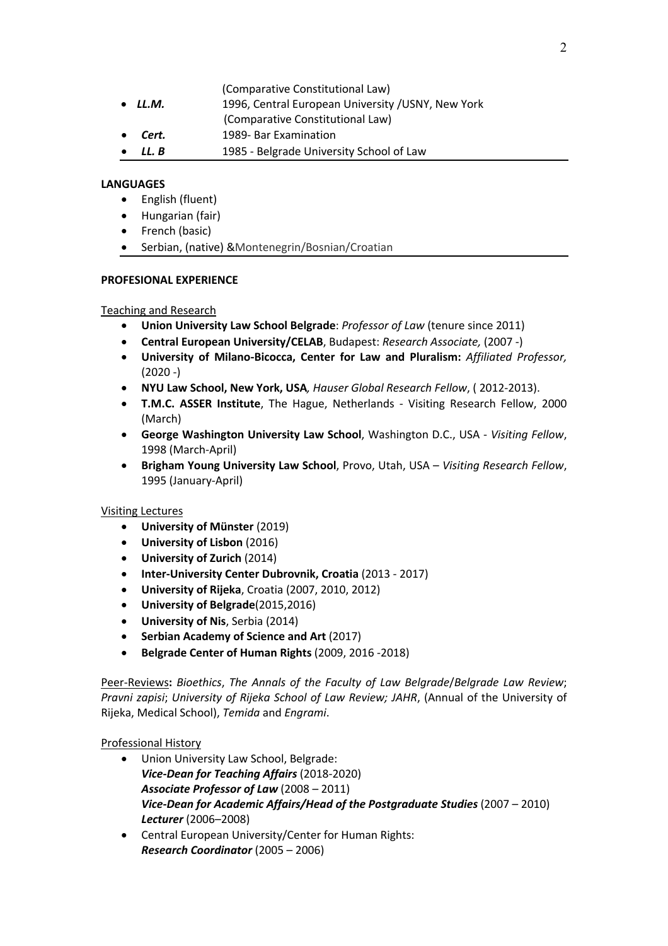(Comparative Constitutional Law)

- LL.M. 1996, Central European University / USNY, New York
- (Comparative Constitutional Law)
- **Cert.** 1989- Bar Examination
- **LL. B** 1985 Belgrade University School of Law

### **LANGUAGES**

- English (fluent)
- Hungarian (fair)
- French (basic)
- Serbian, (native) &Montenegrin/Bosnian/Croatian

### **PROFESIONAL EXPERIENCE**

### Teaching and Research

- **Union University Law School Belgrade**: *Professor of Law* (tenure since 2011)
- **Central European University/CELAB**, Budapest: *Research Associate,* (2007 -)
- **University of Milano-Bicocca, Center for Law and Pluralism:** *Affiliated Professor,*   $(2020 - )$
- **NYU Law School, New York, USA***, Hauser Global Research Fellow*, ( 2012-2013).
- **T.M.C. ASSER Institute**, The Hague, Netherlands Visiting Research Fellow, 2000 (March)
- **George Washington University Law School**, Washington D.C., USA *Visiting Fellow*, 1998 (March-April)
- **Brigham Young University Law School**, Provo, Utah, USA *Visiting Research Fellow*, 1995 (January-April)

# Visiting Lectures

- **University of Münster** (2019)
- **University of Lisbon** (2016)
- **University of Zurich** (2014)
- **Inter-University Center Dubrovnik, Croatia** (2013 2017)
- **University of Rijeka**, Croatia (2007, 2010, 2012)
- **University of Belgrade**(2015,2016)
- **University of Nis**, Serbia (2014)
- **Serbian Academy of Science and Art** (2017)
- **Belgrade Center of Human Rights** (2009, 2016 -2018)

Peer-Reviews**:** *Bioethics*, *The Annals of the Faculty of Law Belgrade*/*Belgrade Law Review*; *Pravni zapisi*; *University of Rijeka School of Law Review; JAHR*, (Annual of the University of Rijeka, Medical School), *Temida* and *Engrami*.

# Professional History

- Union University Law School, Belgrade: *Vice-Dean for Teaching Affairs* (2018-2020) *Associate Professor of Law* (2008 – 2011) *Vice-Dean for Academic Affairs/Head of the Postgraduate Studies* (2007 – 2010) *Lecturer* (2006–2008)
- Central European University/Center for Human Rights: *Research Coordinator* (2005 – 2006)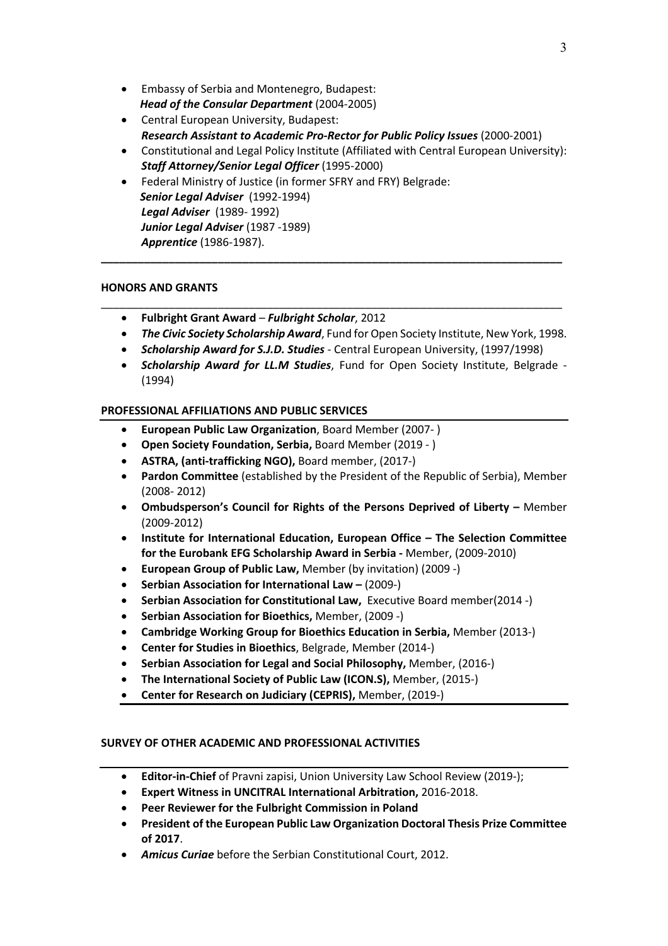- Embassy of Serbia and Montenegro, Budapest:  *Head of the Consular Department* (2004-2005)
- Central European University, Budapest: *Research Assistant to Academic Pro-Rector for Public Policy Issues* (2000-2001)
- Constitutional and Legal Policy Institute (Affiliated with Central European University): *Staff Attorney/Senior Legal Officer* (1995-2000)
- Federal Ministry of Justice (in former SFRY and FRY) Belgrade:  *Senior Legal Adviser* (1992-1994) *Legal Adviser* (1989- 1992) *Junior Legal Adviser* (1987 -1989) *Apprentice* (1986-1987).

### **HONORS AND GRANTS**

- **Fulbright Grant Award** *Fulbright Scholar*, 2012
- *The Civic Society Scholarship Award*, Fund for Open Society Institute, New York, 1998.
- *Scholarship Award for S.J.D. Studies* Central European University, (1997/1998)

**\_\_\_\_\_\_\_\_\_\_\_\_\_\_\_\_\_\_\_\_\_\_\_\_\_\_\_\_\_\_\_\_\_\_\_\_\_\_\_\_\_\_\_\_\_\_\_\_\_\_\_\_\_\_\_\_\_\_\_\_\_\_\_\_\_\_\_\_\_\_\_\_\_\_\_**

\_\_\_\_\_\_\_\_\_\_\_\_\_\_\_\_\_\_\_\_\_\_\_\_\_\_\_\_\_\_\_\_\_\_\_\_\_\_\_\_\_\_\_\_\_\_\_\_\_\_\_\_\_\_\_\_\_\_\_\_\_\_\_\_\_\_\_\_\_\_\_\_\_\_\_

• *Scholarship Award for LL.M Studies*, Fund for Open Society Institute, Belgrade - (1994)

# **PROFESSIONAL AFFILIATIONS AND PUBLIC SERVICES**

- **European Public Law Organization**, Board Member (2007- )
- **Open Society Foundation, Serbia,** Board Member (2019 )
- **ASTRA, (anti-trafficking NGO),** Board member, (2017-)
- **Pardon Committee** (established by the President of the Republic of Serbia), Member (2008- 2012)
- **Ombudsperson's Council for Rights of the Persons Deprived of Liberty –** Member (2009-2012)
- **Institute for International Education, European Office – The Selection Committee for the Eurobank EFG Scholarship Award in Serbia -** Member, (2009-2010)
- **European Group of Public Law,** Member (by invitation) (2009 -)
- **Serbian Association for International Law –** (2009-)
- **Serbian Association for Constitutional Law,** Executive Board member(2014 -)
- **Serbian Association for Bioethics,** Member, (2009 -)
- **Cambridge Working Group for Bioethics Education in Serbia,** Member (2013-)
- **Center for Studies in Bioethics**, Belgrade, Member (2014-)
- **Serbian Association for Legal and Social Philosophy,** Member, (2016-)
- **The International Society of Public Law (ICON.S),** Member, (2015-)
- **Center for Research on Judiciary (CEPRIS),** Member, (2019-)

# **SURVEY OF OTHER ACADEMIC AND PROFESSIONAL ACTIVITIES**

- **Editor-in-Chief** of Pravni zapisi, Union University Law School Review (2019-);
- **Expert Witness in UNCITRAL International Arbitration,** 2016-2018.
- **Peer Reviewer for the Fulbright Commission in Poland**
- **President of the European Public Law Organization Doctoral Thesis Prize Committee of 2017**.
- *Amicus Curiae* before the Serbian Constitutional Court, 2012.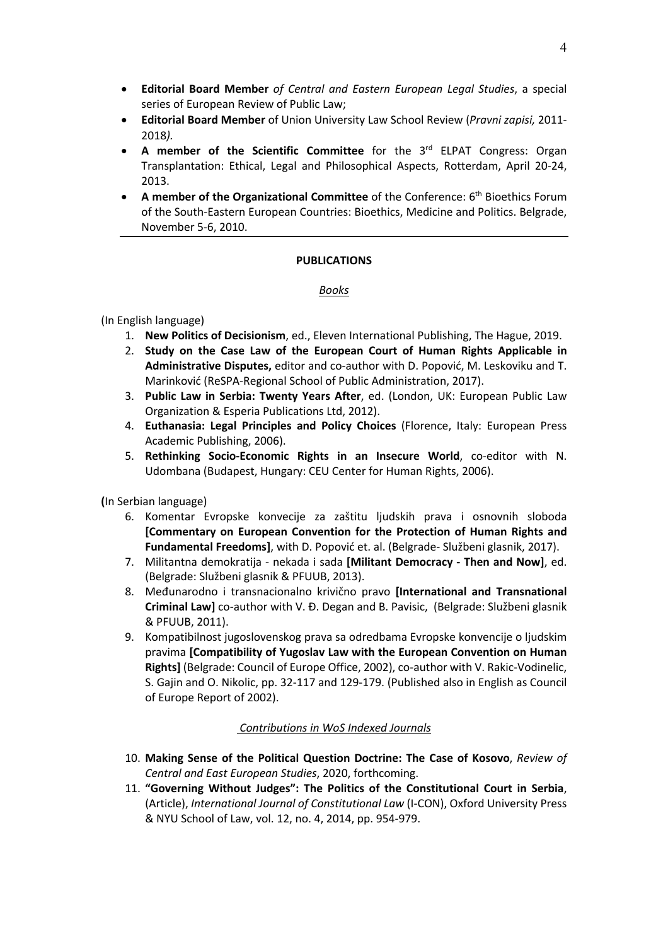- **Editorial Board Member** *of Central and Eastern European Legal Studies*, a special series of European Review of Public Law;
- **Editorial Board Member** of Union University Law School Review (*Pravni zapisi,* 2011- 2018*).*
- **A member of the Scientific Committee** for the 3rd ELPAT Congress: Organ Transplantation: Ethical, Legal and Philosophical Aspects, Rotterdam, April 20-24, 2013.
- **A member of the Organizational Committee** of the Conference: 6th Bioethics Forum of the South-Eastern European Countries: Bioethics, Medicine and Politics. Belgrade, November 5-6, 2010.

### **PUBLICATIONS**

#### *Books*

### (In English language)

- 1. **New Politics of Decisionism**, ed., Eleven International Publishing, The Hague, 2019.
- 2. **Study on the Case Law of the European Court of Human Rights Applicable in Administrative Disputes,** editor and co-author with D. Popović, M. Leskoviku and T. Marinković (ReSPA-Regional School of Public Administration, 2017).
- 3. **Public Law in Serbia: Twenty Years After**, ed. (London, UK: European Public Law Organization & Esperia Publications Ltd, 2012).
- 4. **Euthanasia: Legal Principles and Policy Choices** (Florence, Italy: European Press Academic Publishing, 2006).
- 5. **Rethinking Socio-Economic Rights in an Insecure World**, co-editor with N. Udombana (Budapest, Hungary: CEU Center for Human Rights, 2006).

**(**In Serbian language)

- 6. Komentar Evropske konvecije za zaštitu ljudskih prava i osnovnih sloboda **[Commentary on European Convention for the Protection of Human Rights and Fundamental Freedoms]**, with D. Popović et. al. (Belgrade- Službeni glasnik, 2017).
- 7. Militantna demokratija nekada i sada **[Militant Democracy - Then and Now]**, ed. (Belgrade: Službeni glasnik & PFUUB, 2013).
- 8. Međunarodno i transnacionalno krivično pravo **[International and Transnational Criminal Law]** co-author with V. Đ. Degan and B. Pavisic, (Belgrade: Službeni glasnik & PFUUB, 2011).
- 9. Kompatibilnost jugoslovenskog prava sa odredbama Evropske konvencije o ljudskim pravima **[Compatibility of Yugoslav Law with the European Convention on Human Rights]** (Belgrade: Council of Europe Office, 2002), co-author with V. Rakic-Vodinelic, S. Gajin and O. Nikolic, pp. 32-117 and 129-179. (Published also in English as Council of Europe Report of 2002).

#### *Contributions in WoS Indexed Journals*

- 10. **Making Sense of the Political Question Doctrine: The Case of Kosovo**, *Review of Central and East European Studies*, 2020, forthcoming.
- 11. **"Governing Without Judges": The Politics of the Constitutional Court in Serbia**, (Article), *International Journal of Constitutional Law* (I-CON), Oxford University Press & NYU School of Law, vol. 12, no. 4, 2014, pp. 954-979.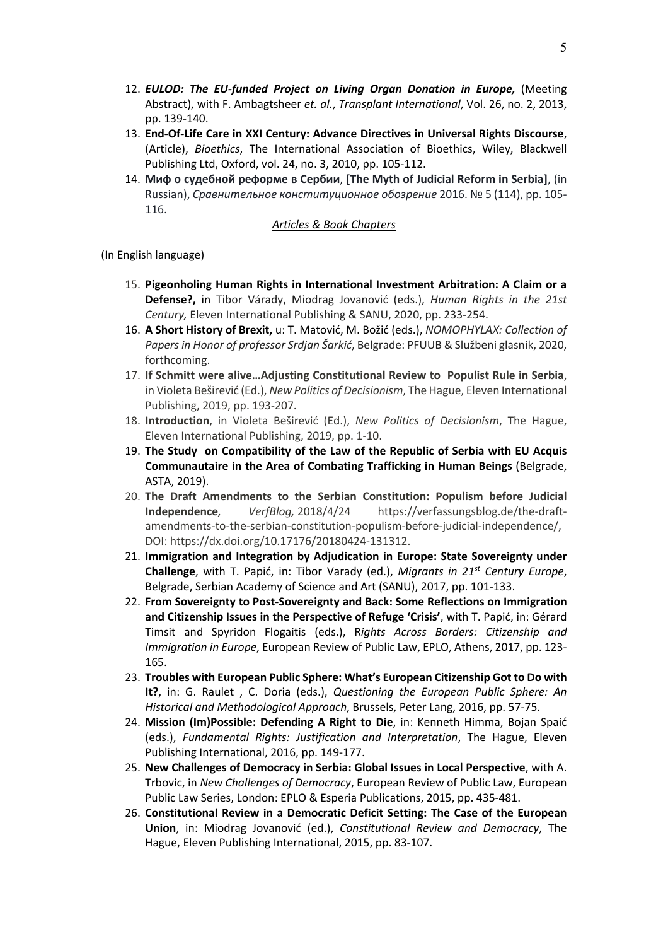- 12. *EULOD: The EU-funded Project on Living Organ Donation in Europe,* (Meeting Abstract), with F. Ambagtsheer *et. al.*, *Transplant International*, Vol. 26, no. 2, 2013, pp. 139-140.
- 13. **End-Of-Life Care in XXI Century: Advance Directives in Universal Rights Discourse**, (Article), *Bioethics*, The International Association of Bioethics, Wiley, Blackwell Publishing Ltd, Oxford, vol. 24, no. 3, 2010, pp. 105-112.
- 14. **Миф о судебной реформе в Сербии**, **[The Myth of Judicial Reform in Serbia]**, (in Russian), *Сравнительное конституционное обозрение* 2016. № 5 (114), pp. 105- 116.

#### *Articles & Book Chapters*

(In English language)

- 15. **Pigeonholing Human Rights in International Investment Arbitration: A Claim or a Defense?,** in Tibor Várady, Miodrag Jovanović (eds.), *Human Rights in the 21st Century,* Eleven International Publishing & SANU, 2020, pp. 233-254.
- 16. **A Short History of Brexit,** u: T. Matović, M. Božić (eds.), *NOMOPHYLAX: Collection of Papers in Honor of professor Srdjan Šarkić*, Belgrade: PFUUB & Službeni glasnik, 2020, forthcoming.
- 17. **If Schmitt were alive…Adjusting Constitutional Review to Populist Rule in Serbia**, in Violeta Beširević (Ed.), *New Politics of Decisionism*, The Hague, Eleven International Publishing, 2019, pp. 193-207.
- 18. **Introduction**, in Violeta Beširević (Ed.), *New Politics of Decisionism*, The Hague, Eleven International Publishing, 2019, pp. 1-10.
- 19. **The Study on Compatibility of the Law of the Republic of Serbia with EU Acquis Communautaire in the Area of Combating Trafficking in Human Beings** (Belgrade, ASTA, 2019).
- 20. **The Draft Amendments to the Serbian Constitution: Populism before Judicial Independence***, VerfBlog,* 2018/4/24 https://verfassungsblog.de/the-draftamendments-to-the-serbian-constitution-populism-before-judicial-independence/, DOI: https://dx.doi.org/10.17176/20180424-131312.
- 21. **Immigration and Integration by Adjudication in Europe: State Sovereignty under Challenge**, with T. Papić, in: Tibor Varady (ed.), *Migrants in 21st Century Europe*, Belgrade, Serbian Academy of Science and Art (SANU), 2017, pp. 101-133.
- 22. **From Sovereignty to Post-Sovereignty and Back: Some Reflections on Immigration and Citizenship Issues in the Perspective of Refuge 'Crisis'**, with T. Papić, in: Gérard Timsit and Spyridon Flogaitis (eds.), R*ights Across Borders: Citizenship and Immigration in Europe*, European Review of Public Law, EPLO, Athens, 2017, pp. 123- 165.
- 23. **Troubles with European Public Sphere: What's European Citizenship Got to Do with It?**, in: G. Raulet , C. Doria (eds.), *Questioning the European Public Sphere: An Historical and Methodological Approach*, Brussels, Peter Lang, 2016, pp. 57-75.
- 24. **Mission (Im)Possible: Defending A Right to Die**, in: Kenneth Himma, Bojan Spaić (eds.), *Fundamental Rights: Justification and Interpretation*, The Hague, Eleven Publishing International, 2016, pp. 149-177.
- 25. **New Challenges of Democracy in Serbia: Global Issues in Local Perspective**, with A. Trbovic, in *New Challenges of Democracy*, European Review of Public Law, European Public Law Series, London: EPLO & Esperia Publications, 2015, pp. 435-481.
- 26. **Constitutional Review in a Democratic Deficit Setting: The Case of the European Union**, in: Miodrag Jovanović (ed.), *Constitutional Review and Democracy*, The Hague, Eleven Publishing International, 2015, pp. 83-107.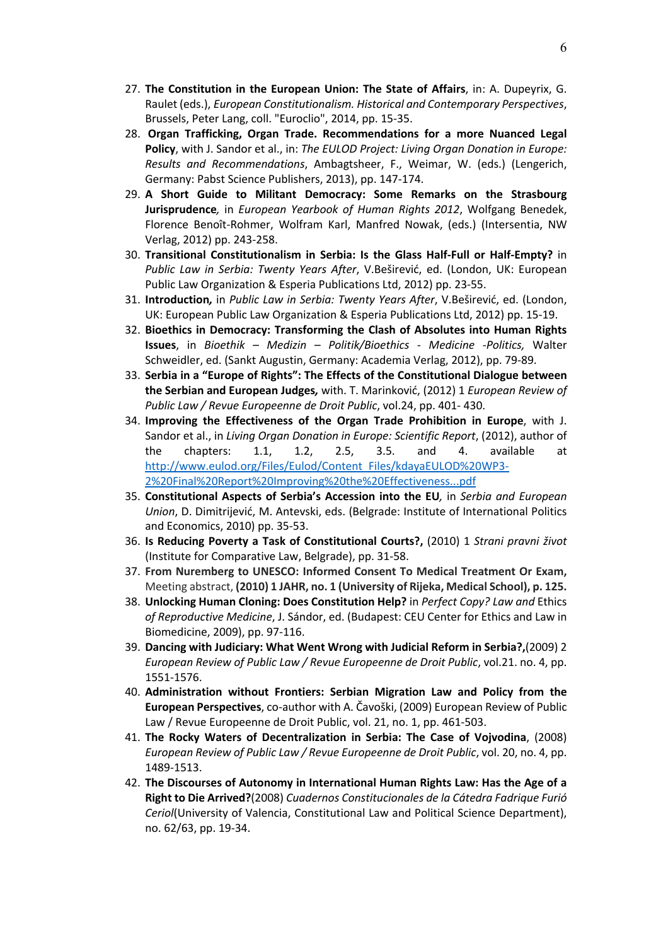- 27. **The Constitution in the European Union: The State of Affairs**, in: A. Dupeyrix, G. Raulet (eds.), *European Constitutionalism. Historical and Contemporary Perspectives*, Brussels, Peter Lang, coll. "Euroclio", 2014, pp. 15-35.
- 28. **Organ Trafficking, Organ Trade. Recommendations for a more Nuanced Legal Policy**, with J. Sandor et al., in: *The EULOD Project: Living Organ Donation in Europe: Results and Recommendations*, Ambagtsheer, F., Weimar, W. (eds.) (Lengerich, Germany: Pabst Science Publishers, 2013), pp. 147-174.
- 29. **A Short Guide to Militant Democracy: Some Remarks on the Strasbourg Jurisprudence***,* in *European Yearbook of Human Rights 2012*, Wolfgang Benedek, Florence Benoît-Rohmer, Wolfram Karl, Manfred Nowak, (eds.) (Intersentia, NW Verlag, 2012) pp. 243-258.
- 30. **Transitional Constitutionalism in Serbia: Is the Glass Half-Full or Half-Empty?** in *Public Law in Serbia: Twenty Years After*, V.Beširević, ed. (London, UK: European Public Law Organization & Esperia Publications Ltd, 2012) pp. 23-55.
- 31. **Introduction***,* in *Public Law in Serbia: Twenty Years After*, V.Beširević, ed. (London, UK: European Public Law Organization & Esperia Publications Ltd, 2012) pp. 15-19.
- 32. **Bioethics in Democracy: Transforming the Clash of Absolutes into Human Rights Issues**, in *Bioethik – Medizin – Politik/Bioethics - Medicine -Politics,* Walter Schweidler, ed. (Sankt Augustin, Germany: Academia Verlag, 2012), pp. 79-89.
- 33. **Serbia in a "Europe of Rights": The Effects of the Constitutional Dialogue between the Serbian and European Judges***,* with. T. Marinković, (2012) 1 *European Review of Public Law / Revue Europeenne de Droit Public*, vol.24, pp. 401- 430.
- 34. **Improving the Effectiveness of the Organ Trade Prohibition in Europe**, with J. Sandor et al., in *Living Organ Donation in Europe: Scientific Report*, (2012), author of the chapters: 1.1, 1.2, 2.5, 3.5. and 4. available at http://www.eulod.org/Files/Eulod/Content\_Files/kdayaEULOD%20WP3- 2%20Final%20Report%20Improving%20the%20Effectiveness...pdf
- 35. **Constitutional Aspects of Serbia's Accession into the EU***,* in *Serbia and European Union*, D. Dimitrijević, M. Antevski, eds. (Belgrade: Institute of International Politics and Economics, 2010) pp. 35-53.
- 36. **Is Reducing Poverty a Task of Constitutional Courts?,** (2010) 1 *Strani pravni život*  (Institute for Comparative Law, Belgrade), pp. 31-58.
- 37. **From Nuremberg to UNESCO: Informed Consent To Medical Treatment Or Exam,**  Meeting abstract, **(2010) 1 JAHR, no. 1 (University of Rijeka, Medical School), p. 125.**
- 38. **Unlocking Human Cloning: Does Constitution Help?** in *Perfect Copy? Law and* Ethics *of Reproductive Medicine*, J. Sándor, ed. (Budapest: CEU Center for Ethics and Law in Biomedicine, 2009), pp. 97-116.
- 39. **Dancing with Judiciary: What Went Wrong with Judicial Reform in Serbia?,**(2009) 2 *European Review of Public Law / Revue Europeenne de Droit Public*, vol.21. no. 4, pp. 1551-1576.
- 40. **Administration without Frontiers: Serbian Migration Law and Policy from the European Perspectives**, co-author with A. Čavoški, (2009) European Review of Public Law / Revue Europeenne de Droit Public, vol. 21, no. 1, pp. 461-503.
- 41. **The Rocky Waters of Decentralization in Serbia: The Case of Vojvodina**, (2008) *European Review of Public Law / Revue Europeenne de Droit Public*, vol. 20, no. 4, pp. 1489-1513.
- 42. **The Discourses of Autonomy in International Human Rights Law: Has the Age of a Right to Die Arrived?**(2008) *Cuadernos Constitucionales de la Cátedra Fadrique Furió Ceriol*(University of Valencia, Constitutional Law and Political Science Department), no. 62/63, pp. 19-34.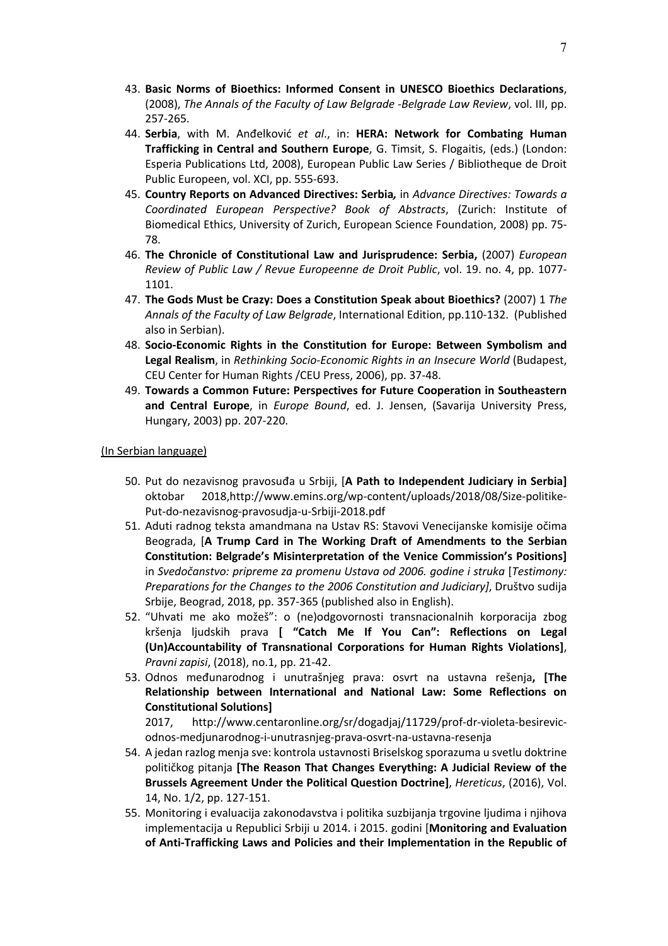- 43. **Basic Norms of Bioethics: Informed Consent in UNESCO Bioethics Declarations**, (2008), *The Annals of the Faculty of Law Belgrade -Belgrade Law Review*, vol. III, pp. 257-265.
- 44. **Serbia**, with M. Anđelković *et al*., in: **HERA: Network for Combating Human Trafficking in Central and Southern Europe**, G. Timsit, S. Flogaitis, (eds.) (London: Esperia Publications Ltd, 2008), European Public Law Series / Bibliotheque de Droit Public Europeen, vol. XCI, pp. 555-693.
- 45. **Country Reports on Advanced Directives: Serbia***,* in *Advance Directives: Towards a Coordinated European Perspective? Book of Abstracts*, (Zurich: Institute of Biomedical Ethics, University of Zurich, European Science Foundation, 2008) pp. 75- 78.
- 46. **The Chronicle of Constitutional Law and Jurisprudence: Serbia,** (2007) *European Review of Public Law / Revue Europeenne de Droit Public*, vol. 19. no. 4, pp. 1077- 1101.
- 47. **The Gods Must be Crazy: Does a Constitution Speak about Bioethics?** (2007) 1 *The Annals of the Faculty of Law Belgrade*, International Edition, pp.110-132. (Published also in Serbian).
- 48. **Socio-Economic Rights in the Constitution for Europe: Between Symbolism and Legal Realism**, in *Rethinking Socio-Economic Rights in an Insecure World* (Budapest, CEU Center for Human Rights /CEU Press, 2006), pp. 37-48.
- 49. **Towards a Common Future: Perspectives for Future Cooperation in Southeastern and Central Europe**, in *Europe Bound*, ed. J. Jensen, (Savarija University Press, Hungary, 2003) pp. 207-220.

#### (In Serbian language)

- 50. Put do nezavisnog pravosuđa u Srbiji, [**A Path to Independent Judiciary in Serbia]** oktobar 2018,http://www.emins.org/wp-content/uploads/2018/08/Size-politike-Put-do-nezavisnog-pravosudja-u-Srbiji-2018.pdf
- 51. Aduti radnog teksta amandmana na Ustav RS: Stavovi Venecijanske komisije očima Beograda, [**A Trump Card in The Working Draft of Amendments to the Serbian Constitution: Belgrade's Misinterpretation of the Venice Commission's Positions]**  in *Svedočanstvo: pripreme za promenu Ustava od 2006. godine i struka* [*Testimony: Preparations for the Changes to the 2006 Constitution and Judiciary]*, Društvo sudija Srbije, Beograd, 2018, pp. 357-365 (published also in English).
- 52. "Uhvati me ako možeš": o (ne)odgovornosti transnacionalnih korporacija zbog kršenja ljudskih prava **[ "Catch Me If You Can": Reflections on Legal (Un)Accountability of Transnational Corporations for Human Rights Violations]**, *Pravni zapisi*, (2018), no.1, pp. 21-42.
- 53. Odnos međunarodnog i unutrašnjeg prava: osvrt na ustavna rešenja**, [The Relationship between International and National Law: Some Reflections on Constitutional Solutions]**

2017, http://www.centaronline.org/sr/dogadjaj/11729/prof-dr-violeta-besirevicodnos-medjunarodnog-i-unutrasnjeg-prava-osvrt-na-ustavna-resenja

- 54. A jedan razlog menja sve: kontrola ustavnosti Briselskog sporazuma u svetlu doktrine političkog pitanja **[The Reason That Changes Everything: A Judicial Review of the Brussels Agreement Under the Political Question Doctrine]**, *Hereticus*, (2016), Vol. 14, No. 1/2, pp. 127-151.
- 55. Monitoring i evaluacija zakonodavstva i politika suzbijanja trgovine ljudima i njihova implementacija u Republici Srbiji u 2014. i 2015. godini [**Monitoring and Evaluation of Anti-Trafficking Laws and Policies and their Implementation in the Republic of**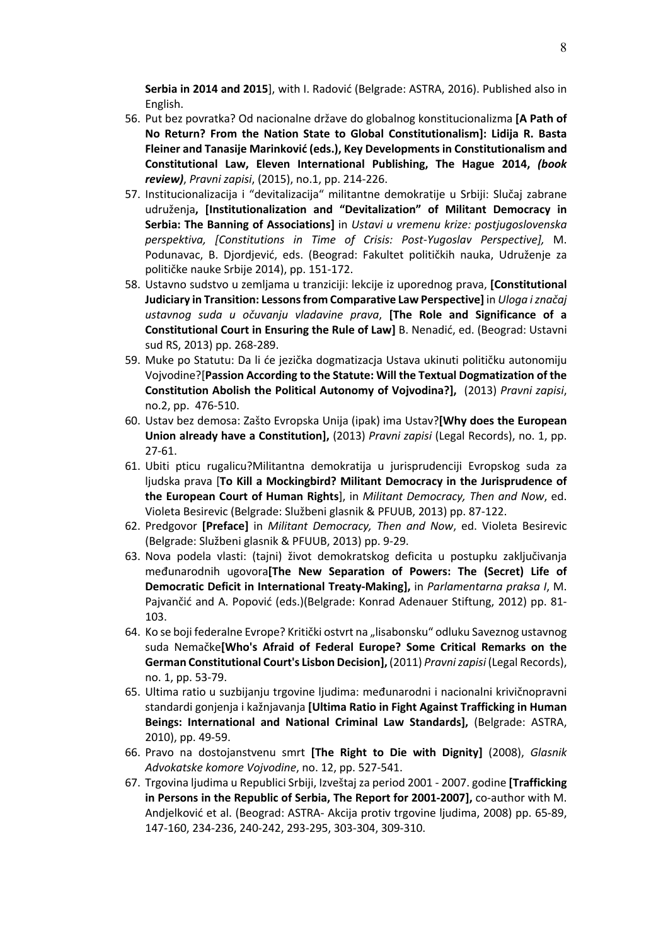**Serbia in 2014 and 2015**], with I. Radović (Belgrade: ASTRA, 2016). Published also in English.

- 56. Put bez povratka? Od nacionalne države do globalnog konstitucionalizma **[A Path of No Return? From the Nation State to Global Constitutionalism]: Lidija R. Basta Fleiner and Tanasije Marinković (eds.), Key Developments in Constitutionalism and Constitutional Law, Eleven International Publishing, The Hague 2014,** *(book review)*, *Pravni zapisi*, (2015), no.1, pp. 214-226.
- 57. Institucionalizacija i "devitalizacija" militantne demokratije u Srbiji: Slučaj zabrane udruženja**, [Institutionalization and "Devitalization" of Militant Democracy in Serbia: The Banning of Associations]** in *Ustavi u vremenu krize: postjugoslovenska perspektiva, [Constitutions in Time of Crisis: Post-Yugoslav Perspective],* M. Podunavac, B. Djordjević, eds. (Beograd: Fakultet političkih nauka, Udruženje za političke nauke Srbije 2014), pp. 151-172.
- 58. Ustavno sudstvo u zemljama u tranziciji: lekcije iz uporednog prava, **[Constitutional Judiciary in Transition: Lessons from Comparative Law Perspective]** in *Uloga i značaj ustavnog suda u očuvanju vladavine prava*, **[The Role and Significance of a Constitutional Court in Ensuring the Rule of Law]** B. Nenadić, ed. (Beograd: Ustavni sud RS, 2013) pp. 268-289.
- 59. Muke po Statutu: Da li će jezička dogmatizacja Ustava ukinuti političku autonomiju Vojvodine?[**Passion According to the Statute: Will the Textual Dogmatization of the Constitution Abolish the Political Autonomy of Vojvodina?],** (2013) *Pravni zapisi*, no.2, pp. 476-510.
- 60. Ustav bez demosa: Zašto Evropska Unija (ipak) ima Ustav?**[Why does the European Union already have a Constitution],** (2013) *Pravni zapisi* (Legal Records), no. 1, pp. 27-61.
- 61. Ubiti pticu rugalicu?Militantna demokratija u jurisprudenciji Evropskog suda za ljudska prava [**To Kill a Mockingbird? Militant Democracy in the Jurisprudence of the European Court of Human Rights**], in *Militant Democracy, Then and Now*, ed. Violeta Besirevic (Belgrade: Službeni glasnik & PFUUB, 2013) pp. 87-122.
- 62. Predgovor **[Preface]** in *Militant Democracy, Then and Now*, ed. Violeta Besirevic (Belgrade: Službeni glasnik & PFUUB, 2013) pp. 9-29.
- 63. Nova podela vlasti: (tajni) život demokratskog deficita u postupku zaključivanja međunarodnih ugovora**[The New Separation of Powers: The (Secret) Life of Democratic Deficit in International Treaty-Making],** in *Parlamentarna praksa I*, M. Pajvančić and A. Popović (eds.)(Belgrade: Konrad Adenauer Stiftung, 2012) pp. 81- 103.
- 64. Ko se boji federalne Evrope? Kritički ostvrt na "lisabonsku" odluku Saveznog ustavnog suda Nemačke**[Who's Afraid of Federal Europe? Some Critical Remarks on the German Constitutional Court's Lisbon Decision],** (2011) *Pravni zapisi* (Legal Records), no. 1, pp. 53-79.
- 65. Ultima ratio u suzbijanju trgovine ljudima: međunarodni i nacionalni krivičnopravni standardi gonjenja i kažnjavanja **[Ultima Ratio in Fight Against Trafficking in Human Beings: International and National Criminal Law Standards],** (Belgrade: ASTRA, 2010), pp. 49-59.
- 66. Pravo na dostojanstvenu smrt **[The Right to Die with Dignity]** (2008), *Glasnik Advokatske komore Vojvodine*, no. 12, pp. 527-541.
- 67. Trgovina ljudima u Republici Srbiji, Izveštaj za period 2001 2007. godine **[Trafficking in Persons in the Republic of Serbia, The Report for 2001-2007],** co-author with M. Andjelković et al. (Beograd: ASTRA- Akcija protiv trgovine ljudima, 2008) pp. 65-89, 147-160, 234-236, 240-242, 293-295, 303-304, 309-310.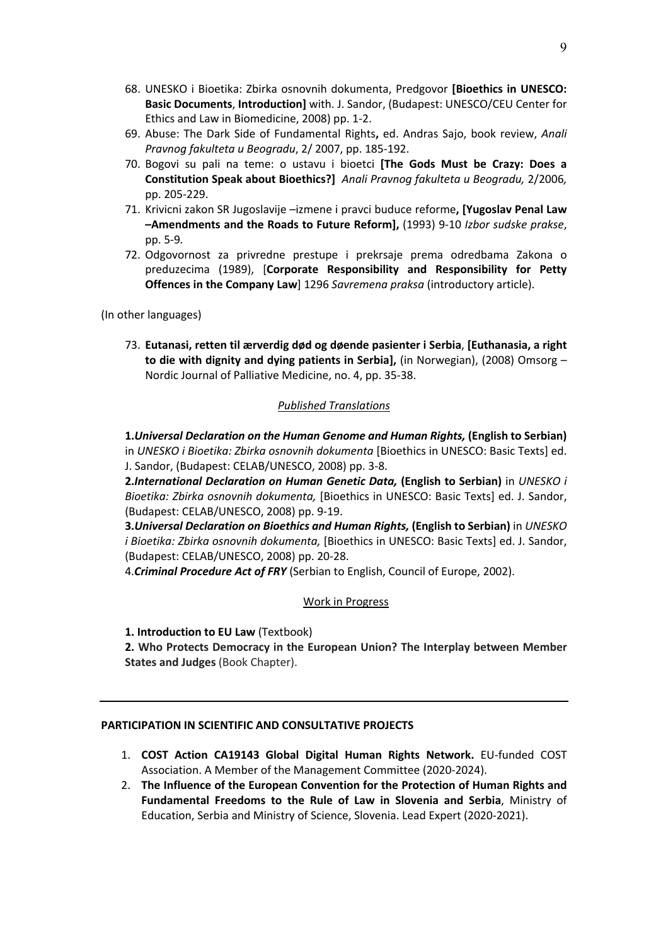- 68. UNESKO i Bioetika: Zbirka osnovnih dokumenta, Predgovor **[Bioethics in UNESCO: Basic Documents**, **Introduction]** with. J. Sandor, (Budapest: UNESCO/CEU Center for Ethics and Law in Biomedicine, 2008) pp. 1-2.
- 69. Abuse: The Dark Side of Fundamental Rights**,** ed. Andras Sajo, book review, *Anali Pravnog fakulteta u Beogradu*, 2/ 2007, pp. 185-192.
- 70. Bogovi su pali na teme: o ustavu i bioetci **[The Gods Must be Crazy: Does a Constitution Speak about Bioethics?]** *Anali Pravnog fakulteta u Beogradu,* 2/2006*,*  pp. 205-229.
- 71. Krivicni zakon SR Jugoslavije –izmene i pravci buduce reforme**, [Yugoslav Penal Law –Amendments and the Roads to Future Reform],** (1993) 9-10 *Izbor sudske prakse*, pp. 5-9*.*
- 72. Odgovornost za privredne prestupe i prekrsaje prema odredbama Zakona o preduzecima (1989), [**Corporate Responsibility and Responsibility for Petty Offences in the Company Law**] 1296 *Savremena praksa* (introductory article).

(In other languages)

73. **Eutanasi, retten til ærverdig død og døende pasienter i Serbia**, **[Euthanasia, a right to die with dignity and dying patients in Serbia],** (in Norwegian), (2008) Omsorg – Nordic Journal of Palliative Medicine, no. 4, pp. 35-38.

### *Published Translations*

**1.***Universal Declaration on the Human Genome and Human Rights,* **(English to Serbian)** in *UNESKO i Bioetika: Zbirka osnovnih dokumenta* [Bioethics in UNESCO: Basic Texts] ed. J. Sandor, (Budapest: CELAB/UNESCO, 2008) pp. 3-8.

**2.***International Declaration on Human Genetic Data,* **(English to Serbian)** in *UNESKO i Bioetika: Zbirka osnovnih dokumenta,* [Bioethics in UNESCO: Basic Texts] ed. J. Sandor, (Budapest: CELAB/UNESCO, 2008) pp. 9-19.

**3.***Universal Declaration on Bioethics and Human Rights,* **(English to Serbian)** in *UNESKO i Bioetika: Zbirka osnovnih dokumenta,* [Bioethics in UNESCO: Basic Texts] ed. J. Sandor, (Budapest: CELAB/UNESCO, 2008) pp. 20-28.

4.*Criminal Procedure Act of FRY* (Serbian to English, Council of Europe, 2002).

# Work in Progress

**1. Introduction to EU Law** (Textbook)

**2. Who Protects Democracy in the European Union? The Interplay between Member States and Judges** (Book Chapter).

# **PARTICIPATION IN SCIENTIFIC AND CONSULTATIVE PROJECTS**

- 1. **COST Action CA19143 Global Digital Human Rights Network.** EU-funded COST Association. A Member of the Management Committee (2020-2024).
- 2. **The Influence of the European Convention for the Protection of Human Rights and Fundamental Freedoms to the Rule of Law in Slovenia and Serbia**, Ministry of Education, Serbia and Ministry of Science, Slovenia. Lead Expert (2020-2021).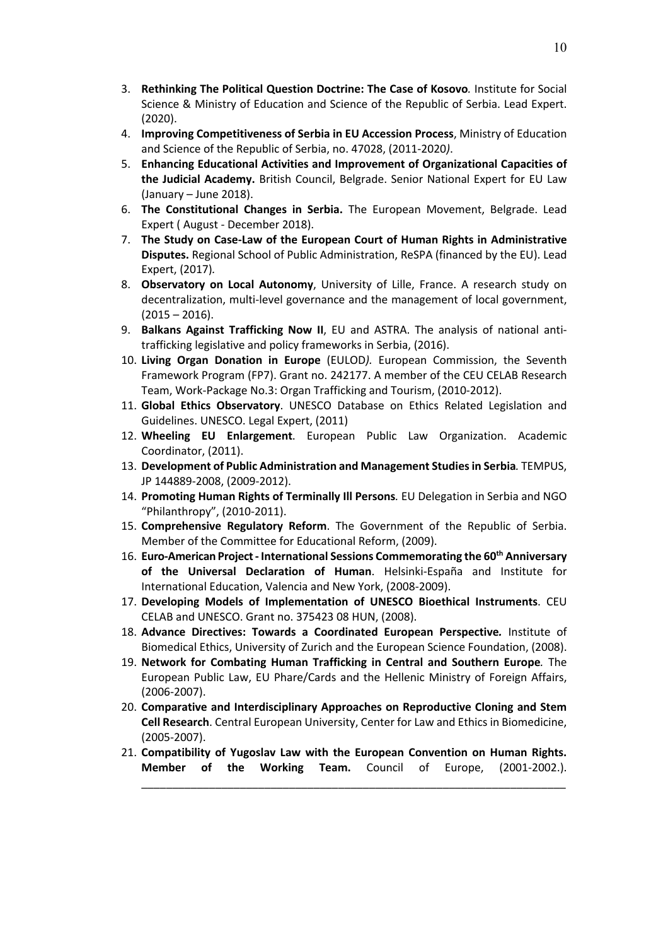- 3. **Rethinking The Political Question Doctrine: The Case of Kosovo***.* Institute for Social Science & Ministry of Education and Science of the Republic of Serbia. Lead Expert. (2020).
- 4. **Improving Competitiveness of Serbia in EU Accession Process**, Ministry of Education and Science of the Republic of Serbia, no. 47028, (2011-2020*)*.
- 5. **Enhancing Educational Activities and Improvement of Organizational Capacities of the Judicial Academy.** British Council, Belgrade. Senior National Expert for EU Law (January – June 2018).
- 6. **The Constitutional Changes in Serbia.** The European Movement, Belgrade. Lead Expert ( August - December 2018).
- 7. **The Study on Case-Law of the European Court of Human Rights in Administrative Disputes.** Regional School of Public Administration, ReSPA (financed by the EU). Lead Expert, (2017)*.*
- 8. **Observatory on Local Autonomy**, University of Lille, France. A research study on decentralization, multi-level governance and the management of local government,  $(2015 - 2016)$ .
- 9. **Balkans Against Trafficking Now II**, EU and ASTRA. The analysis of national antitrafficking legislative and policy frameworks in Serbia, (2016).
- 10. **Living Organ Donation in Europe** (EULOD*).* European Commission, the Seventh Framework Program (FP7). Grant no. 242177. A member of the CEU CELAB Research Team, Work-Package No.3: Organ Trafficking and Tourism, (2010-2012).
- 11. **Global Ethics Observatory**. UNESCO Database on Ethics Related Legislation and Guidelines. UNESCO. Legal Expert, (2011)
- 12. **Wheeling EU Enlargement**. European Public Law Organization. Academic Coordinator, (2011).
- 13. **Development of Public Administration and Management Studies in Serbia***.* TEMPUS, JP 144889-2008, (2009-2012).
- 14. **Promoting Human Rights of Terminally Ill Persons***.* EU Delegation in Serbia and NGO "Philanthropy", (2010-2011).
- 15. **Comprehensive Regulatory Reform**. The Government of the Republic of Serbia. Member of the Committee for Educational Reform, (2009).
- 16. **Euro-American Project - International Sessions Commemorating the 60th Anniversary of the Universal Declaration of Human**. Helsinki-España and Institute for International Education, Valencia and New York, (2008-2009).
- 17. **Developing Models of Implementation of UNESCO Bioethical Instruments**. CEU CELAB and UNESCO. Grant no. 375423 08 HUN, (2008).
- 18. **Advance Directives: Towards a Coordinated European Perspective***.* Institute of Biomedical Ethics, University of Zurich and the European Science Foundation, (2008).
- 19. **Network for Combating Human Trafficking in Central and Southern Europe***.* The European Public Law, EU Phare/Cards and the Hellenic Ministry of Foreign Affairs, (2006-2007).
- 20. **Comparative and Interdisciplinary Approaches on Reproductive Cloning and Stem Cell Research**. Central European University, Center for Law and Ethics in Biomedicine, (2005-2007).
- 21. **Compatibility of Yugoslav Law with the European Convention on Human Rights. Member of the Working Team.** Council of Europe, (2001-2002.).

\_\_\_\_\_\_\_\_\_\_\_\_\_\_\_\_\_\_\_\_\_\_\_\_\_\_\_\_\_\_\_\_\_\_\_\_\_\_\_\_\_\_\_\_\_\_\_\_\_\_\_\_\_\_\_\_\_\_\_\_\_\_\_\_\_\_\_\_\_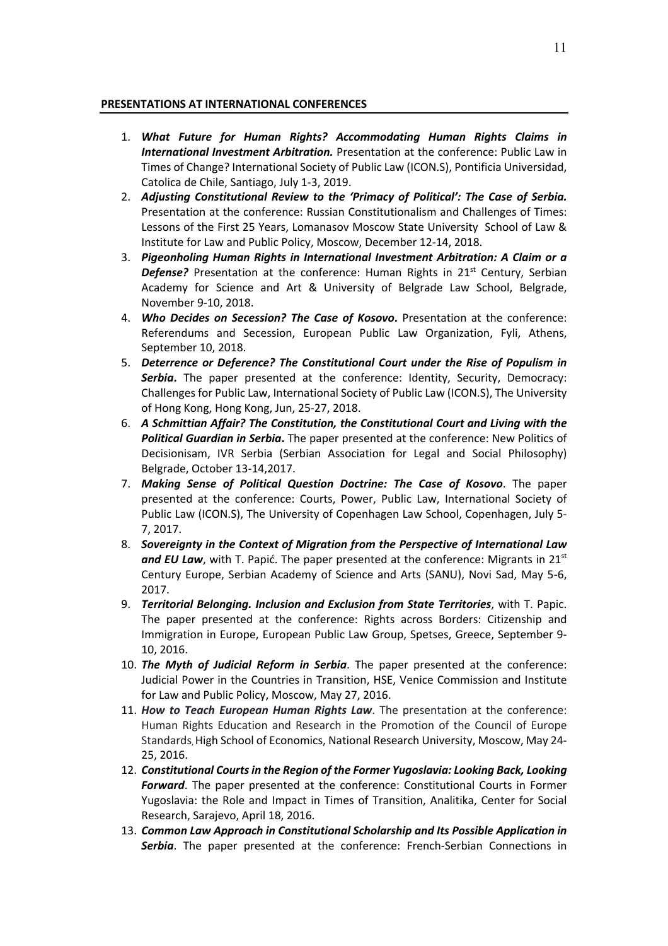#### **PRESENTATIONS AT INTERNATIONAL CONFERENCES**

- 1. *What Future for Human Rights? Accommodating Human Rights Claims in International Investment Arbitration.* Presentation at the conference: Public Law in Times of Change? International Society of Public Law (ICON.S), Pontificia Universidad, Catolica de Chile, Santiago, July 1-3, 2019.
- 2. *Adjusting Constitutional Review to the 'Primacy of Political': The Case of Serbia.*  Presentation at the conference: Russian Constitutionalism and Challenges of Times: Lessons of the First 25 Years, Lomanasov Moscow State University School of Law & Institute for Law and Public Policy, Moscow, December 12-14, 2018.
- 3. *Pigeonholing Human Rights in International Investment Arbitration: A Claim or a*  **Defense?** Presentation at the conference: Human Rights in 21<sup>st</sup> Century, Serbian Academy for Science and Art & University of Belgrade Law School, Belgrade, November 9-10, 2018.
- 4. *Who Decides on Secession? The Case of Kosovo***.** Presentation at the conference: Referendums and Secession, European Public Law Organization, Fyli, Athens, September 10, 2018.
- 5. *Deterrence or Deference? The Constitutional Court under the Rise of Populism in Serbia***.** The paper presented at the conference: Identity, Security, Democracy: Challenges for Public Law, International Society of Public Law (ICON.S), The University of Hong Kong, Hong Kong, Jun, 25-27, 2018.
- 6. *A Schmittian Affair? The Constitution, the Constitutional Court and Living with the Political Guardian in Serbia***.** The paper presented at the conference: New Politics of Decisionisam, IVR Serbia (Serbian Association for Legal and Social Philosophy) Belgrade, October 13-14,2017.
- 7. *Making Sense of Political Question Doctrine: The Case of Kosovo*. The paper presented at the conference: Courts, Power, Public Law, International Society of Public Law (ICON.S), The University of Copenhagen Law School, Copenhagen, July 5- 7, 2017.
- 8. *Sovereignty in the Context of Migration from the Perspective of International Law*  and EU Law, with T. Papić. The paper presented at the conference: Migrants in 21<sup>st</sup> Century Europe, Serbian Academy of Science and Arts (SANU), Novi Sad, May 5-6, 2017.
- 9. *Territorial Belonging. Inclusion and Exclusion from State Territories*, with T. Papic. The paper presented at the conference: Rights across Borders: Citizenship and Immigration in Europe, European Public Law Group, Spetses, Greece, September 9- 10, 2016.
- 10. *The Myth of Judicial Reform in Serbia*. The paper presented at the conference: Judicial Power in the Countries in Transition, HSE, Venice Commission and Institute for Law and Public Policy, Moscow, May 27, 2016.
- 11. *How to Teach European Human Rights Law*. The presentation at the conference: Human Rights Education and Research in the Promotion of the Council of Europe Standards, High School of Economics, National Research University, Moscow, May 24- 25, 2016.
- 12. *Constitutional Courts in the Region of the Former Yugoslavia: Looking Back, Looking Forward*. The paper presented at the conference: Constitutional Courts in Former Yugoslavia: the Role and Impact in Times of Transition, Analitika, Center for Social Research, Sarajevo, April 18, 2016.
- 13. *Common Law Approach in Constitutional Scholarship and Its Possible Application in Serbia*. The paper presented at the conference: French-Serbian Connections in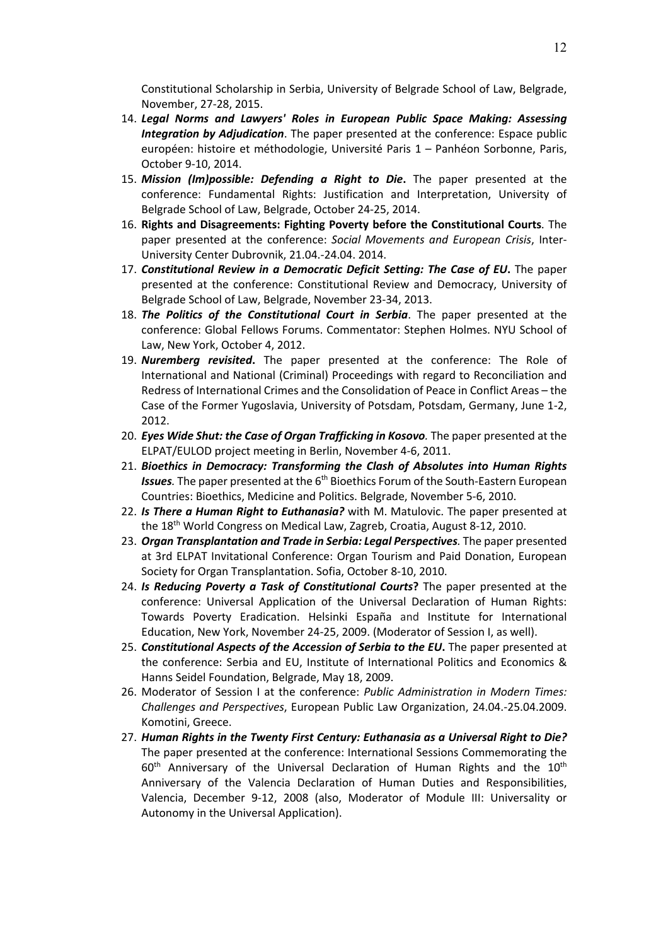Constitutional Scholarship in Serbia, University of Belgrade School of Law, Belgrade, November, 27-28, 2015.

- 14. *Legal Norms and Lawyers' Roles in European Public Space Making: Assessing Integration by Adjudication*. The paper presented at the conference: Espace public européen: histoire et méthodologie, Université Paris 1 – Panhéon Sorbonne, Paris, October 9-10, 2014.
- 15. *Mission (Im)possible: Defending a Right to Die***.** The paper presented at the conference: Fundamental Rights: Justification and Interpretation, University of Belgrade School of Law, Belgrade, October 24-25, 2014.
- 16. **Rights and Disagreements: Fighting Poverty before the Constitutional Courts**. The paper presented at the conference: *Social Movements and European Crisis*, Inter-University Center Dubrovnik, 21.04.-24.04. 2014.
- 17. *Constitutional Review in a Democratic Deficit Setting: The Case of EU***.** The paper presented at the conference: Constitutional Review and Democracy, University of Belgrade School of Law, Belgrade, November 23-34, 2013.
- 18. *The Politics of the Constitutional Court in Serbia*. The paper presented at the conference: Global Fellows Forums. Commentator: Stephen Holmes. NYU School of Law, New York, October 4, 2012.
- 19. *Nuremberg revisited***.** The paper presented at the conference: The Role of International and National (Criminal) Proceedings with regard to Reconciliation and Redress of International Crimes and the Consolidation of Peace in Conflict Areas – the Case of the Former Yugoslavia, University of Potsdam, Potsdam, Germany, June 1-2, 2012.
- 20. *Eyes Wide Shut: the Case of Organ Trafficking in Kosovo.* The paper presented at the ELPAT/EULOD project meeting in Berlin, November 4-6, 2011.
- 21. *Bioethics in Democracy: Transforming the Clash of Absolutes into Human Rights*  **Issues**. The paper presented at the 6<sup>th</sup> Bioethics Forum of the South-Eastern European Countries: Bioethics, Medicine and Politics. Belgrade, November 5-6, 2010.
- 22. *Is There a Human Right to Euthanasia?* with M. Matulovic. The paper presented at the 18th World Congress on Medical Law, Zagreb, Croatia, August 8-12, 2010.
- 23. *Organ Transplantation and Trade in Serbia: Legal Perspectives.* The paper presented at 3rd ELPAT Invitational Conference: Organ Tourism and Paid Donation, European Society for Organ Transplantation. Sofia, October 8-10, 2010.
- 24. *Is Reducing Poverty a Task of Constitutional Courts***?** The paper presented at the conference: Universal Application of the Universal Declaration of Human Rights: Towards Poverty Eradication. Helsinki España and Institute for International Education, New York, November 24-25, 2009. (Moderator of Session I, as well).
- 25. *Constitutional Aspects of the Accession of Serbia to the EU***.** The paper presented at the conference: Serbia and EU, Institute of International Politics and Economics & Hanns Seidel Foundation, Belgrade, May 18, 2009.
- 26. Moderator of Session I at the conference: *Public Administration in Modern Times: Challenges and Perspectives*, European Public Law Organization, 24.04.-25.04.2009. Komotini, Greece.
- 27. *Human Rights in the Twenty First Century: Euthanasia as a Universal Right to Die?*  The paper presented at the conference: International Sessions Commemorating the  $60<sup>th</sup>$  Anniversary of the Universal Declaration of Human Rights and the  $10<sup>th</sup>$ Anniversary of the Valencia Declaration of Human Duties and Responsibilities, Valencia, December 9-12, 2008 (also, Moderator of Module III: Universality or Autonomy in the Universal Application).